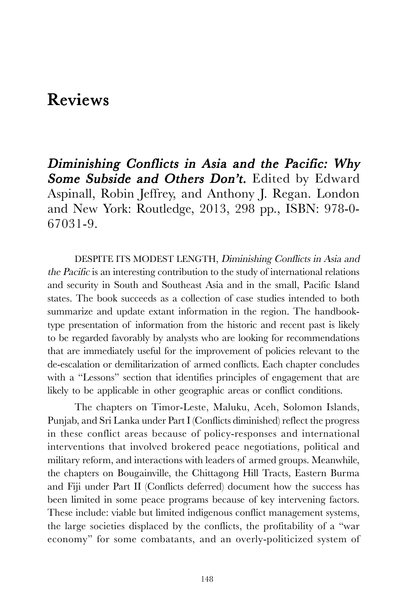## Reviews

Diminishing Conflicts in Asia and the Pacific: Why Some Subside and Others Don't. Edited by Edward Aspinall, Robin Jeffrey, and Anthony J. Regan. London and New York: Routledge, 2013, 298 pp., ISBN: 978-0- 67031-9.

DESPITE ITS MODEST LENGTH, Diminishing Conflicts in Asia and the Pacific is an interesting contribution to the study of international relations and security in South and Southeast Asia and in the small, Pacific Island states. The book succeeds as a collection of case studies intended to both summarize and update extant information in the region. The handbooktype presentation of information from the historic and recent past is likely to be regarded favorably by analysts who are looking for recommendations that are immediately useful for the improvement of policies relevant to the de-escalation or demilitarization of armed conflicts. Each chapter concludes with a "Lessons" section that identifies principles of engagement that are likely to be applicable in other geographic areas or conflict conditions.

The chapters on Timor-Leste, Maluku, Aceh, Solomon Islands, Punjab, and Sri Lanka under Part I (Conflicts diminished) reflect the progress in these conflict areas because of policy-responses and international interventions that involved brokered peace negotiations, political and military reform, and interactions with leaders of armed groups. Meanwhile, the chapters on Bougainville, the Chittagong Hill Tracts, Eastern Burma and Fiji under Part II (Conflicts deferred) document how the success has been limited in some peace programs because of key intervening factors. These include: viable but limited indigenous conflict management systems, the large societies displaced by the conflicts, the profitability of a "war economy" for some combatants, and an overly-politicized system of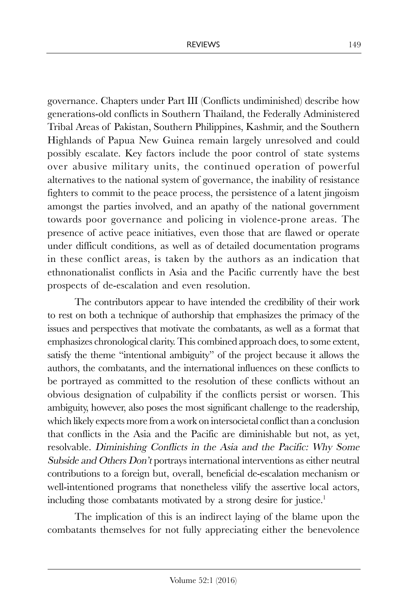governance. Chapters under Part III (Conflicts undiminished) describe how generations-old conflicts in Southern Thailand, the Federally Administered Tribal Areas of Pakistan, Southern Philippines, Kashmir, and the Southern Highlands of Papua New Guinea remain largely unresolved and could possibly escalate. Key factors include the poor control of state systems over abusive military units, the continued operation of powerful alternatives to the national system of governance, the inability of resistance fighters to commit to the peace process, the persistence of a latent jingoism amongst the parties involved, and an apathy of the national government towards poor governance and policing in violence-prone areas. The presence of active peace initiatives, even those that are flawed or operate under difficult conditions, as well as of detailed documentation programs in these conflict areas, is taken by the authors as an indication that ethnonationalist conflicts in Asia and the Pacific currently have the best prospects of de-escalation and even resolution.

The contributors appear to have intended the credibility of their work to rest on both a technique of authorship that emphasizes the primacy of the issues and perspectives that motivate the combatants, as well as a format that emphasizes chronological clarity. This combined approach does, to some extent, satisfy the theme "intentional ambiguity" of the project because it allows the authors, the combatants, and the international influences on these conflicts to be portrayed as committed to the resolution of these conflicts without an obvious designation of culpability if the conflicts persist or worsen. This ambiguity, however, also poses the most significant challenge to the readership, which likely expects more from a work on intersocietal conflict than a conclusion that conflicts in the Asia and the Pacific are diminishable but not, as yet, resolvable. Diminishing Conflicts in the Asia and the Pacific: Why Some Subside and Others Don't portrays international interventions as either neutral contributions to a foreign but, overall, beneficial de-escalation mechanism or well-intentioned programs that nonetheless vilify the assertive local actors, including those combatants motivated by a strong desire for justice.<sup>1</sup>

The implication of this is an indirect laying of the blame upon the combatants themselves for not fully appreciating either the benevolence